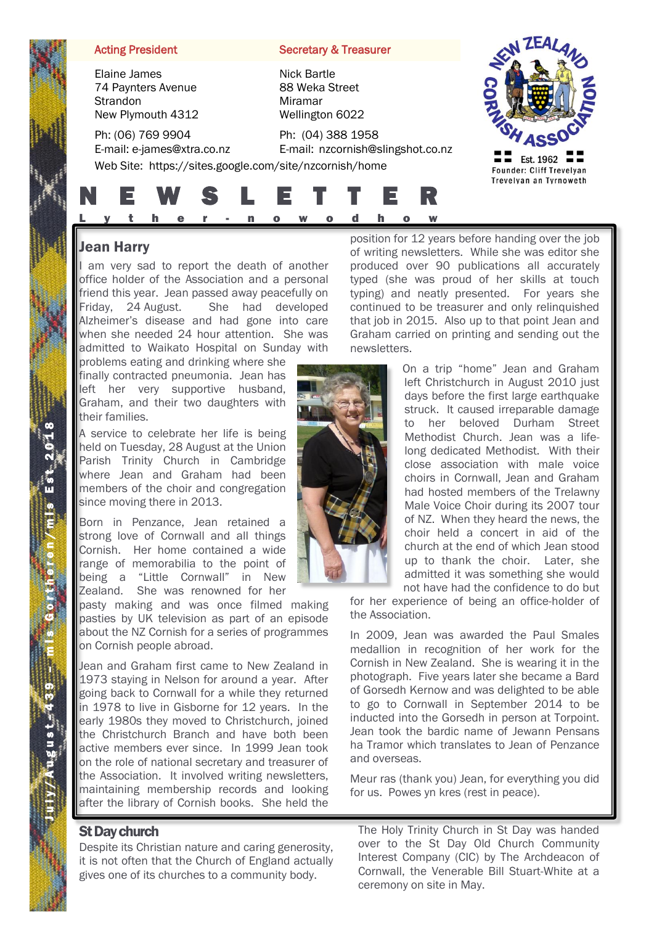Elaine James 74 Paynters Avenue **Strandon** New Plymouth 4312

Ph: (06) 769 9904 E-mail: e-james@xtra.co.nz

Acting President Secretary & Treasurer

Nick Bartle 88 Weka Street Miramar Wellington 6022

Ph: (04) 388 1958 E-mail: nzcornish@slingshot.co.nz Web Site: https://sites.google.com/site/nzcornish/home



Ī



# Jean Harry

I am very sad to report the death of another office holder of the Association and a personal friend this year. Jean passed away peacefully on Friday, 24 August. She had developed Alzheimer's disease and had gone into care when she needed 24 hour attention. She was admitted to Waikato Hospital on Sunday with

problems eating and drinking where she finally contracted pneumonia. Jean has left her very supportive husband, Graham, and their two daughters with their families.

A service to celebrate her life is being held on Tuesday, 28 August at the Union Parish Trinity Church in Cambridge where Jean and Graham had been members of the choir and congregation since moving there in 2013.

Born in Penzance, Jean retained a strong love of Cornwall and all things Cornish. Her home contained a wide range of memorabilia to the point of being a "Little Cornwall" in New Zealand. She was renowned for her

pasty making and was once filmed making pasties by UK television as part of an episode about the NZ Cornish for a series of programmes on Cornish people abroad.

Jean and Graham first came to New Zealand in 1973 staying in Nelson for around a year. After going back to Cornwall for a while they returned in 1978 to live in Gisborne for 12 years. In the early 1980s they moved to Christchurch, joined the Christchurch Branch and have both been active members ever since. In 1999 Jean took on the role of national secretary and treasurer of the Association. It involved writing newsletters, maintaining membership records and looking after the library of Cornish books. She held the

# St Day church

Despite its Christian nature and caring generosity, it is not often that the Church of England actually gives one of its churches to a community body.

position for 12 years before handing over the job of writing newsletters. While she was editor she produced over 90 publications all accurately typed (she was proud of her skills at touch typing) and neatly presented. For years she continued to be treasurer and only relinquished that job in 2015. Also up to that point Jean and Graham carried on printing and sending out the newsletters.

> On a trip "home" Jean and Graham left Christchurch in August 2010 just days before the first large earthquake struck. It caused irreparable damage to her beloved Durham Street Methodist Church. Jean was a lifelong dedicated Methodist. With their close association with male voice choirs in Cornwall, Jean and Graham had hosted members of the Trelawny Male Voice Choir during its 2007 tour of NZ. When they heard the news, the choir held a concert in aid of the church at the end of which Jean stood up to thank the choir. Later, she admitted it was something she would not have had the confidence to do but

for her experience of being an office-holder of the Association.

In 2009, Jean was awarded the Paul Smales medallion in recognition of her work for the Cornish in New Zealand. She is wearing it in the photograph. Five years later she became a Bard of Gorsedh Kernow and was delighted to be able to go to Cornwall in September 2014 to be inducted into the Gorsedh in person at Torpoint. Jean took the bardic name of Jewann Pensans ha Tramor which translates to Jean of Penzance and overseas.

Meur ras (thank you) Jean, for everything you did for us. Powes yn kres (rest in peace).

The Holy Trinity Church in St Day was handed over to the St Day Old Church Community Interest Company (CIC) by The Archdeacon of Cornwall, the Venerable Bill Stuart-White at a ceremony on site in May.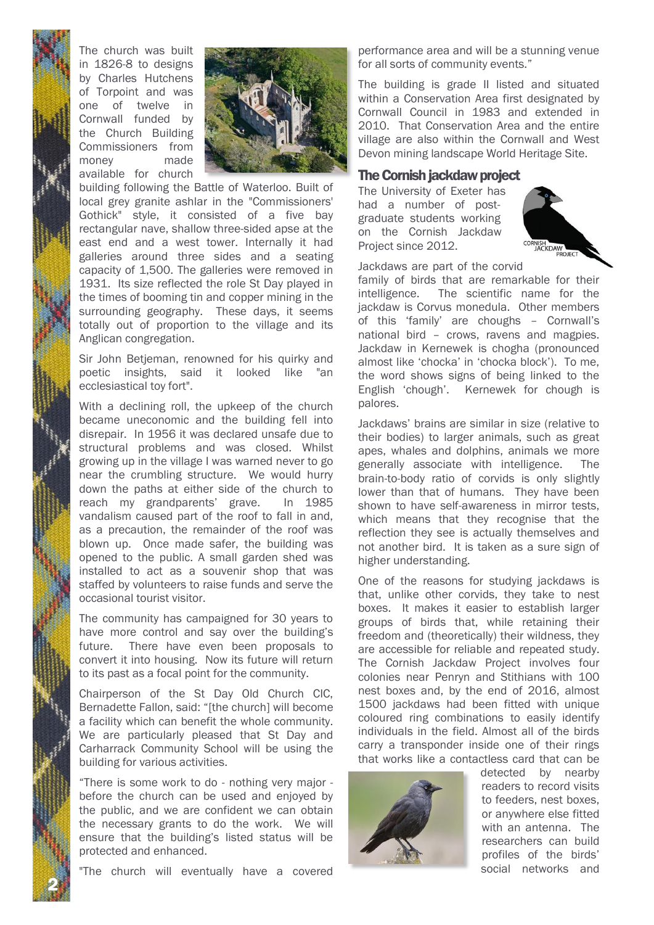

The church was built in 1826-8 to designs by Charles Hutchens of Torpoint and was one of twelve in Cornwall funded by the Church Building Commissioners from money made available for church



building following the Battle of Waterloo. Built of local grey granite ashlar in the "Commissioners' Gothick" style, it consisted of a five bay rectangular nave, shallow three-sided apse at the east end and a west tower. Internally it had galleries around three sides and a seating capacity of 1,500. The galleries were removed in 1931. Its size reflected the role St Day played in the times of booming tin and copper mining in the surrounding geography. These days, it seems totally out of proportion to the village and its Anglican congregation.

Sir John Betjeman, renowned for his quirky and poetic insights, said it looked like "an ecclesiastical toy fort".

With a declining roll, the upkeep of the church became uneconomic and the building fell into disrepair. In 1956 it was declared unsafe due to structural problems and was closed. Whilst growing up in the village I was warned never to go near the crumbling structure. We would hurry down the paths at either side of the church to reach my grandparents' grave. In 1985 vandalism caused part of the roof to fall in and, as a precaution, the remainder of the roof was blown up. Once made safer, the building was opened to the public. A small garden shed was installed to act as a souvenir shop that was staffed by volunteers to raise funds and serve the occasional tourist visitor.

The community has campaigned for 30 years to have more control and say over the building's future. There have even been proposals to convert it into housing. Now its future will return to its past as a focal point for the community.

Chairperson of the St Day Old Church CIC, Bernadette Fallon, said: "[the church] will become a facility which can benefit the whole community. We are particularly pleased that St Day and Carharrack Community School will be using the building for various activities.

"There is some work to do - nothing very major before the church can be used and enjoyed by the public, and we are confident we can obtain the necessary grants to do the work. We will ensure that the building's listed status will be protected and enhanced.

"The church will eventually have a covered

performance area and will be a stunning venue for all sorts of community events."

The building is grade II listed and situated within a Conservation Area first designated by Cornwall Council in 1983 and extended in 2010. That Conservation Area and the entire village are also within the Cornwall and West Devon mining landscape World Heritage Site.

## The Cornish jackdaw project

The University of Exeter has had a number of postgraduate students working on the Cornish Jackdaw Project since 2012.



Jackdaws are part of the corvid

family of birds that are remarkable for their intelligence. The scientific name for the jackdaw is Corvus monedula. Other members of this 'family' are choughs – Cornwall's national bird – crows, ravens and magpies. Jackdaw in Kernewek is chogha (pronounced almost like 'chocka' in 'chocka block'). To me, the word shows signs of being linked to the English 'chough'. Kernewek for chough is palores.

Jackdaws' brains are similar in size (relative to their bodies) to larger animals, such as great apes, whales and dolphins, animals we more generally associate with intelligence. The brain-to-body ratio of corvids is only slightly lower than that of humans. They have been shown to have self-awareness in mirror tests, which means that they recognise that the reflection they see is actually themselves and not another bird. It is taken as a sure sign of higher understanding.

One of the reasons for studying jackdaws is that, unlike other corvids, they take to nest boxes. It makes it easier to establish larger groups of birds that, while retaining their freedom and (theoretically) their wildness, they are accessible for reliable and repeated study. The Cornish Jackdaw Project involves four colonies near Penryn and Stithians with 100 nest boxes and, by the end of 2016, almost 1500 jackdaws had been fitted with unique coloured ring combinations to easily identify individuals in the field. Almost all of the birds carry a transponder inside one of their rings that works like a contactless card that can be



detected by nearby readers to record visits to feeders, nest boxes, or anywhere else fitted with an antenna. The researchers can build profiles of the birds' social networks and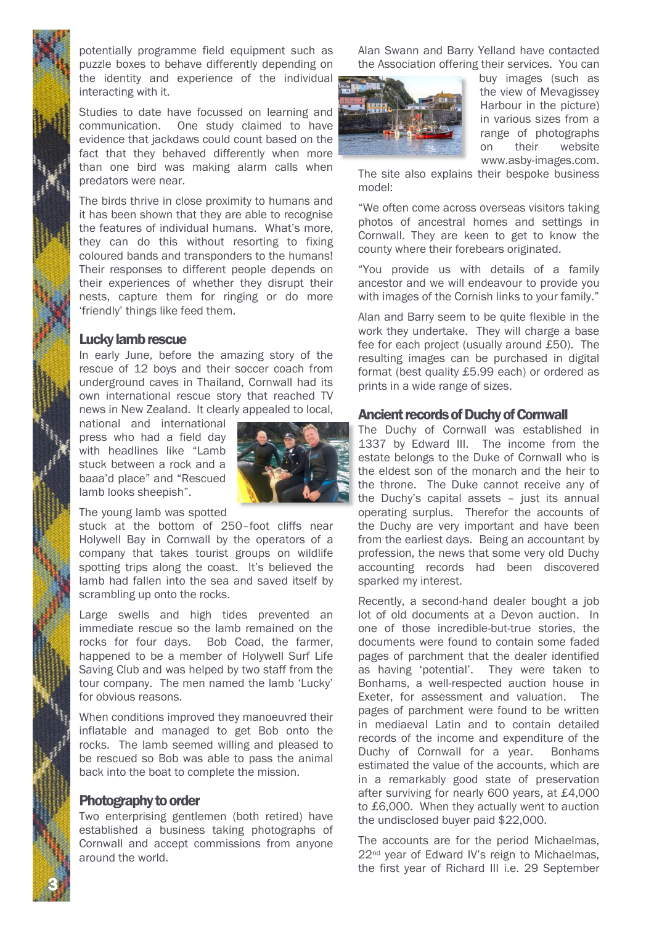potentially programme field equipment such as puzzle boxes to behave differently depending on the identity and experience of the individual interacting with it.

Studies to date have focussed on learning and communication. One study claimed to have evidence that jackdaws could count based on the fact that they behaved differently when more than one bird was making alarm calls when predators were near.

The birds thrive in close proximity to humans and it has been shown that they are able to recognise the features of individual humans. What's more, they can do this without resorting to fixing coloured bands and transponders to the humans! Their responses to different people depends on their experiences of whether they disrupt their nests, capture them for ringing or do more 'friendly' things like feed them.

### Lucky lamb rescue

In early June, before the amazing story of the rescue of 12 boys and their soccer coach from underground caves in Thailand, Cornwall had its own international rescue story that reached TV news in New Zealand. It clearly appealed to local,

national and international press who had a field day with headlines like "Lamb stuck between a rock and a baaa'd place" and "Rescued lamb looks sheepish".



The young lamb was spotted

stuck at the bottom of 250–foot cliffs near Holywell Bay in Cornwall by the operators of a company that takes tourist groups on wildlife spotting trips along the coast. It's believed the lamb had fallen into the sea and saved itself by scrambling up onto the rocks.

Large swells and high tides prevented an immediate rescue so the lamb remained on the rocks for four days. Bob Coad, the farmer, happened to be a member of Holywell Surf Life Saving Club and was helped by two staff from the tour company. The men named the lamb 'Lucky' for obvious reasons.

When conditions improved they manoeuvred their inflatable and managed to get Bob onto the rocks. The lamb seemed willing and pleased to be rescued so Bob was able to pass the animal back into the boat to complete the mission.

#### Photography to order

3 N

Two enterprising gentlemen (both retired) have established a business taking photographs of Cornwall and accept commissions from anyone around the world.

Alan Swann and Barry Yelland have contacted the Association offering their services. You can



buy images (such as the view of Mevagissey Harbour in the picture) in various sizes from a range of photographs on their website www.asby-images.com.

The site also explains their bespoke business model:

"We often come across overseas visitors taking photos of ancestral homes and settings in Cornwall. They are keen to get to know the county where their forebears originated.

"You provide us with details of a family ancestor and we will endeavour to provide you with images of the Cornish links to your family."

Alan and Barry seem to be quite flexible in the work they undertake. They will charge a base fee for each project (usually around £50). The resulting images can be purchased in digital format (best quality £5.99 each) or ordered as prints in a wide range of sizes.

### Ancient records of Duchy of Cornwall

The Duchy of Cornwall was established in 1337 by Edward III. The income from the estate belongs to the Duke of Cornwall who is the eldest son of the monarch and the heir to the throne. The Duke cannot receive any of the Duchy's capital assets – just its annual operating surplus. Therefor the accounts of the Duchy are very important and have been from the earliest days. Being an accountant by profession, the news that some very old Duchy accounting records had been discovered sparked my interest.

Recently, a second-hand dealer bought a job lot of old documents at a Devon auction. In one of those incredible-but-true stories, the documents were found to contain some faded pages of parchment that the dealer identified as having 'potential'. They were taken to Bonhams, a well-respected auction house in Exeter, for assessment and valuation. The pages of parchment were found to be written in mediaeval Latin and to contain detailed records of the income and expenditure of the Duchy of Cornwall for a year. Bonhams estimated the value of the accounts, which are in a remarkably good state of preservation after surviving for nearly 600 years, at £4,000 to £6,000. When they actually went to auction the undisclosed buyer paid \$22,000.

The accounts are for the period Michaelmas, 22<sup>nd</sup> year of Edward IV's reign to Michaelmas, the first year of Richard III i.e. 29 September